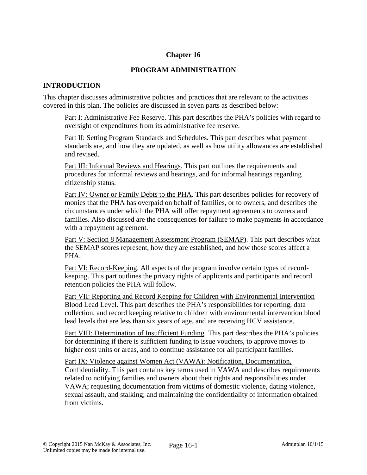# **Chapter 16**

# **PROGRAM ADMINISTRATION**

# **INTRODUCTION**

This chapter discusses administrative policies and practices that are relevant to the activities covered in this plan. The policies are discussed in seven parts as described below:

Part I: Administrative Fee Reserve. This part describes the PHA's policies with regard to oversight of expenditures from its administrative fee reserve.

Part II: Setting Program Standards and Schedules. This part describes what payment standards are, and how they are updated, as well as how utility allowances are established and revised.

Part III: Informal Reviews and Hearings. This part outlines the requirements and procedures for informal reviews and hearings, and for informal hearings regarding citizenship status.

Part IV: Owner or Family Debts to the PHA. This part describes policies for recovery of monies that the PHA has overpaid on behalf of families, or to owners, and describes the circumstances under which the PHA will offer repayment agreements to owners and families. Also discussed are the consequences for failure to make payments in accordance with a repayment agreement.

Part V: Section 8 Management Assessment Program (SEMAP). This part describes what the SEMAP scores represent, how they are established, and how those scores affect a PHA.

Part VI: Record-Keeping. All aspects of the program involve certain types of recordkeeping. This part outlines the privacy rights of applicants and participants and record retention policies the PHA will follow.

Part VII: Reporting and Record Keeping for Children with Environmental Intervention Blood Lead Level. This part describes the PHA's responsibilities for reporting, data collection, and record keeping relative to children with environmental intervention blood lead levels that are less than six years of age, and are receiving HCV assistance.

Part VIII: Determination of Insufficient Funding. This part describes the PHA's policies for determining if there is sufficient funding to issue vouchers, to approve moves to higher cost units or areas, and to continue assistance for all participant families.

Part IX: Violence against Women Act (VAWA): Notification, Documentation, Confidentiality. This part contains key terms used in VAWA and describes requirements related to notifying families and owners about their rights and responsibilities under VAWA; requesting documentation from victims of domestic violence, dating violence, sexual assault, and stalking; and maintaining the confidentiality of information obtained from victims.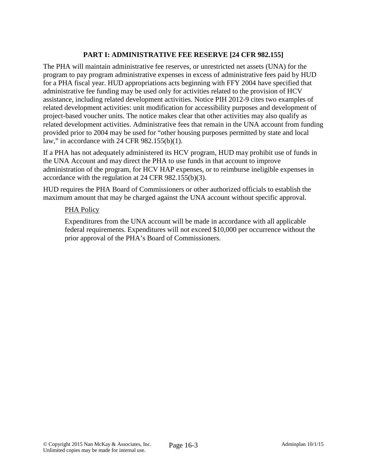# **PART I: ADMINISTRATIVE FEE RESERVE [24 CFR 982.155]**

The PHA will maintain administrative fee reserves, or unrestricted net assets (UNA) for the program to pay program administrative expenses in excess of administrative fees paid by HUD for a PHA fiscal year. HUD appropriations acts beginning with FFY 2004 have specified that administrative fee funding may be used only for activities related to the provision of HCV assistance, including related development activities. Notice PIH 2012-9 cites two examples of related development activities: unit modification for accessibility purposes and development of project-based voucher units. The notice makes clear that other activities may also qualify as related development activities. Administrative fees that remain in the UNA account from funding provided prior to 2004 may be used for "other housing purposes permitted by state and local law," in accordance with 24 CFR 982.155(b)(1).

If a PHA has not adequately administered its HCV program, HUD may prohibit use of funds in the UNA Account and may direct the PHA to use funds in that account to improve administration of the program, for HCV HAP expenses, or to reimburse ineligible expenses in accordance with the regulation at 24 CFR 982.155(b)(3).

HUD requires the PHA Board of Commissioners or other authorized officials to establish the maximum amount that may be charged against the UNA account without specific approval.

### PHA Policy

Expenditures from the UNA account will be made in accordance with all applicable federal requirements. Expenditures will not exceed \$10,000 per occurrence without the prior approval of the PHA's Board of Commissioners.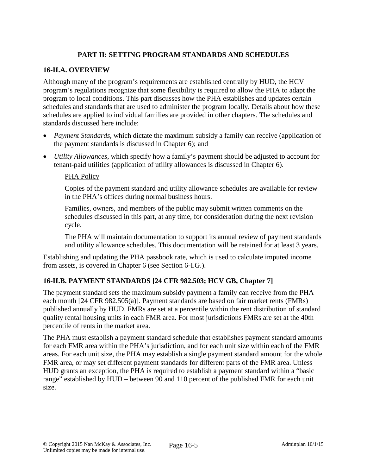# **PART II: SETTING PROGRAM STANDARDS AND SCHEDULES**

### **16-II.A. OVERVIEW**

Although many of the program's requirements are established centrally by HUD, the HCV program's regulations recognize that some flexibility is required to allow the PHA to adapt the program to local conditions. This part discusses how the PHA establishes and updates certain schedules and standards that are used to administer the program locally. Details about how these schedules are applied to individual families are provided in other chapters. The schedules and standards discussed here include:

- *Payment Standards*, which dictate the maximum subsidy a family can receive (application of the payment standards is discussed in Chapter 6); and
- *Utility Allowances*, which specify how a family's payment should be adjusted to account for tenant-paid utilities (application of utility allowances is discussed in Chapter 6).

#### PHA Policy

Copies of the payment standard and utility allowance schedules are available for review in the PHA's offices during normal business hours.

Families, owners, and members of the public may submit written comments on the schedules discussed in this part, at any time, for consideration during the next revision cycle.

The PHA will maintain documentation to support its annual review of payment standards and utility allowance schedules. This documentation will be retained for at least 3 years.

Establishing and updating the PHA passbook rate, which is used to calculate imputed income from assets, is covered in Chapter 6 (see Section 6-I.G.).

# **16-II.B. PAYMENT STANDARDS [24 CFR 982.503; HCV GB, Chapter 7]**

The payment standard sets the maximum subsidy payment a family can receive from the PHA each month [24 CFR 982.505(a)]. Payment standards are based on fair market rents (FMRs) published annually by HUD. FMRs are set at a percentile within the rent distribution of standard quality rental housing units in each FMR area. For most jurisdictions FMRs are set at the 40th percentile of rents in the market area.

The PHA must establish a payment standard schedule that establishes payment standard amounts for each FMR area within the PHA's jurisdiction, and for each unit size within each of the FMR areas. For each unit size, the PHA may establish a single payment standard amount for the whole FMR area, or may set different payment standards for different parts of the FMR area. Unless HUD grants an exception, the PHA is required to establish a payment standard within a "basic range" established by HUD – between 90 and 110 percent of the published FMR for each unit size.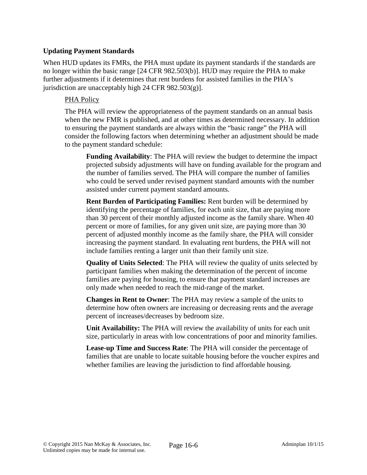### **Updating Payment Standards**

When HUD updates its FMRs, the PHA must update its payment standards if the standards are no longer within the basic range [24 CFR 982.503(b)]. HUD may require the PHA to make further adjustments if it determines that rent burdens for assisted families in the PHA's jurisdiction are unacceptably high  $24$  CFR  $982.503(g)$ ].

### PHA Policy

The PHA will review the appropriateness of the payment standards on an annual basis when the new FMR is published, and at other times as determined necessary. In addition to ensuring the payment standards are always within the "basic range" the PHA will consider the following factors when determining whether an adjustment should be made to the payment standard schedule:

**Funding Availability**: The PHA will review the budget to determine the impact projected subsidy adjustments will have on funding available for the program and the number of families served. The PHA will compare the number of families who could be served under revised payment standard amounts with the number assisted under current payment standard amounts.

**Rent Burden of Participating Families:** Rent burden will be determined by identifying the percentage of families, for each unit size, that are paying more than 30 percent of their monthly adjusted income as the family share. When 40 percent or more of families, for any given unit size, are paying more than 30 percent of adjusted monthly income as the family share, the PHA will consider increasing the payment standard. In evaluating rent burdens, the PHA will not include families renting a larger unit than their family unit size.

**Quality of Units Selected**: The PHA will review the quality of units selected by participant families when making the determination of the percent of income families are paying for housing, to ensure that payment standard increases are only made when needed to reach the mid-range of the market.

**Changes in Rent to Owner**: The PHA may review a sample of the units to determine how often owners are increasing or decreasing rents and the average percent of increases/decreases by bedroom size.

**Unit Availability:** The PHA will review the availability of units for each unit size, particularly in areas with low concentrations of poor and minority families.

**Lease-up Time and Success Rate**: The PHA will consider the percentage of families that are unable to locate suitable housing before the voucher expires and whether families are leaving the jurisdiction to find affordable housing.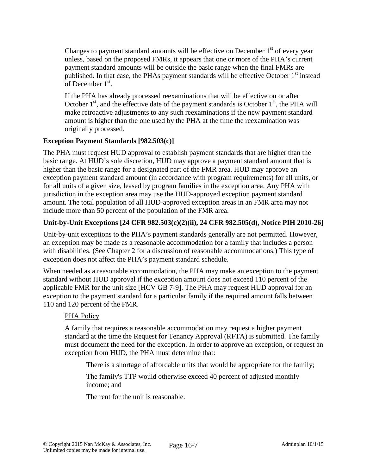Changes to payment standard amounts will be effective on December  $1<sup>st</sup>$  of every year unless, based on the proposed FMRs, it appears that one or more of the PHA's current payment standard amounts will be outside the basic range when the final FMRs are published. In that case, the PHAs payment standards will be effective October  $1<sup>st</sup>$  instead of December  $1<sup>st</sup>$ .

If the PHA has already processed reexaminations that will be effective on or after October  $1<sup>st</sup>$ , and the effective date of the payment standards is October  $1<sup>st</sup>$ , the PHA will make retroactive adjustments to any such reexaminations if the new payment standard amount is higher than the one used by the PHA at the time the reexamination was originally processed.

# **Exception Payment Standards [982.503(c)]**

The PHA must request HUD approval to establish payment standards that are higher than the basic range. At HUD's sole discretion, HUD may approve a payment standard amount that is higher than the basic range for a designated part of the FMR area. HUD may approve an exception payment standard amount (in accordance with program requirements) for all units, or for all units of a given size, leased by program families in the exception area. Any PHA with jurisdiction in the exception area may use the HUD-approved exception payment standard amount. The total population of all HUD-approved exception areas in an FMR area may not include more than 50 percent of the population of the FMR area.

# **Unit-by-Unit Exceptions [24 CFR 982.503(c)(2)(ii), 24 CFR 982.505(d), Notice PIH 2010-26]**

Unit-by-unit exceptions to the PHA's payment standards generally are not permitted. However, an exception may be made as a reasonable accommodation for a family that includes a person with disabilities. (See Chapter 2 for a discussion of reasonable accommodations.) This type of exception does not affect the PHA's payment standard schedule.

When needed as a reasonable accommodation, the PHA may make an exception to the payment standard without HUD approval if the exception amount does not exceed 110 percent of the applicable FMR for the unit size [HCV GB 7-9]. The PHA may request HUD approval for an exception to the payment standard for a particular family if the required amount falls between 110 and 120 percent of the FMR.

# PHA Policy

A family that requires a reasonable accommodation may request a higher payment standard at the time the Request for Tenancy Approval (RFTA) is submitted. The family must document the need for the exception. In order to approve an exception, or request an exception from HUD, the PHA must determine that:

There is a shortage of affordable units that would be appropriate for the family;

The family's TTP would otherwise exceed 40 percent of adjusted monthly income; and

The rent for the unit is reasonable.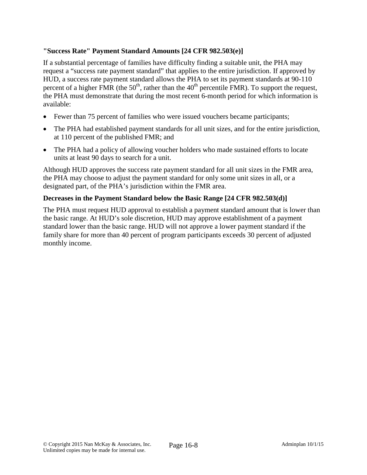# **"Success Rate" Payment Standard Amounts [24 CFR 982.503(e)]**

If a substantial percentage of families have difficulty finding a suitable unit, the PHA may request a "success rate payment standard" that applies to the entire jurisdiction. If approved by HUD, a success rate payment standard allows the PHA to set its payment standards at 90-110 percent of a higher FMR (the  $50<sup>th</sup>$ , rather than the  $40<sup>th</sup>$  percentile FMR). To support the request, the PHA must demonstrate that during the most recent 6-month period for which information is available:

- Fewer than 75 percent of families who were issued vouchers became participants;
- The PHA had established payment standards for all unit sizes, and for the entire jurisdiction, at 110 percent of the published FMR; and
- The PHA had a policy of allowing voucher holders who made sustained efforts to locate units at least 90 days to search for a unit.

Although HUD approves the success rate payment standard for all unit sizes in the FMR area, the PHA may choose to adjust the payment standard for only some unit sizes in all, or a designated part, of the PHA's jurisdiction within the FMR area.

# **Decreases in the Payment Standard below the Basic Range [24 CFR 982.503(d)]**

The PHA must request HUD approval to establish a payment standard amount that is lower than the basic range. At HUD's sole discretion, HUD may approve establishment of a payment standard lower than the basic range. HUD will not approve a lower payment standard if the family share for more than 40 percent of program participants exceeds 30 percent of adjusted monthly income.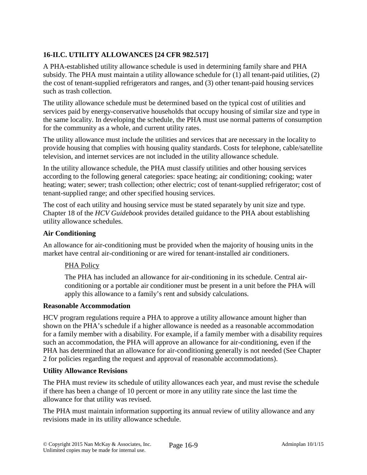# **16-II.C. UTILITY ALLOWANCES [24 CFR 982.517]**

A PHA-established utility allowance schedule is used in determining family share and PHA subsidy. The PHA must maintain a utility allowance schedule for (1) all tenant-paid utilities, (2) the cost of tenant-supplied refrigerators and ranges, and (3) other tenant-paid housing services such as trash collection.

The utility allowance schedule must be determined based on the typical cost of utilities and services paid by energy-conservative households that occupy housing of similar size and type in the same locality. In developing the schedule, the PHA must use normal patterns of consumption for the community as a whole, and current utility rates.

The utility allowance must include the utilities and services that are necessary in the locality to provide housing that complies with housing quality standards. Costs for telephone, cable/satellite television, and internet services are not included in the utility allowance schedule.

In the utility allowance schedule, the PHA must classify utilities and other housing services according to the following general categories: space heating; air conditioning; cooking; water heating; water; sewer; trash collection; other electric; cost of tenant-supplied refrigerator; cost of tenant-supplied range; and other specified housing services.

The cost of each utility and housing service must be stated separately by unit size and type. Chapter 18 of the *HCV Guidebook* provides detailed guidance to the PHA about establishing utility allowance schedules.

# **Air Conditioning**

An allowance for air-conditioning must be provided when the majority of housing units in the market have central air-conditioning or are wired for tenant-installed air conditioners.

# PHA Policy

The PHA has included an allowance for air-conditioning in its schedule. Central airconditioning or a portable air conditioner must be present in a unit before the PHA will apply this allowance to a family's rent and subsidy calculations.

# **Reasonable Accommodation**

HCV program regulations require a PHA to approve a utility allowance amount higher than shown on the PHA's schedule if a higher allowance is needed as a reasonable accommodation for a family member with a disability. For example, if a family member with a disability requires such an accommodation, the PHA will approve an allowance for air-conditioning, even if the PHA has determined that an allowance for air-conditioning generally is not needed (See Chapter 2 for policies regarding the request and approval of reasonable accommodations).

# **Utility Allowance Revisions**

The PHA must review its schedule of utility allowances each year, and must revise the schedule if there has been a change of 10 percent or more in any utility rate since the last time the allowance for that utility was revised.

The PHA must maintain information supporting its annual review of utility allowance and any revisions made in its utility allowance schedule.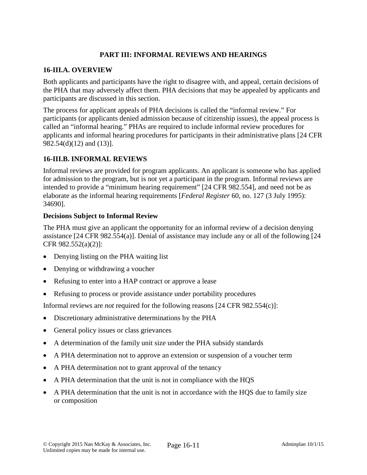# **PART III: INFORMAL REVIEWS AND HEARINGS**

### **16-III.A. OVERVIEW**

Both applicants and participants have the right to disagree with, and appeal, certain decisions of the PHA that may adversely affect them. PHA decisions that may be appealed by applicants and participants are discussed in this section.

The process for applicant appeals of PHA decisions is called the "informal review." For participants (or applicants denied admission because of citizenship issues), the appeal process is called an "informal hearing." PHAs are required to include informal review procedures for applicants and informal hearing procedures for participants in their administrative plans [24 CFR 982.54(d)(12) and (13)].

# **16-III.B. INFORMAL REVIEWS**

Informal reviews are provided for program applicants. An applicant is someone who has applied for admission to the program, but is not yet a participant in the program. Informal reviews are intended to provide a "minimum hearing requirement" [24 CFR 982.554], and need not be as elaborate as the informal hearing requirements [*Federal Register* 60, no. 127 (3 July 1995): 34690].

# **Decisions Subject to Informal Review**

The PHA must give an applicant the opportunity for an informal review of a decision denying assistance [24 CFR 982.554(a)]. Denial of assistance may include any or all of the following [24 CFR 982.552(a)(2)]:

- Denying listing on the PHA waiting list
- Denying or withdrawing a voucher
- Refusing to enter into a HAP contract or approve a lease
- Refusing to process or provide assistance under portability procedures

Informal reviews are *not* required for the following reasons [24 CFR 982.554(c)]:

- Discretionary administrative determinations by the PHA
- General policy issues or class grievances
- A determination of the family unit size under the PHA subsidy standards
- A PHA determination not to approve an extension or suspension of a voucher term
- A PHA determination not to grant approval of the tenancy
- A PHA determination that the unit is not in compliance with the HQS
- A PHA determination that the unit is not in accordance with the HQS due to family size or composition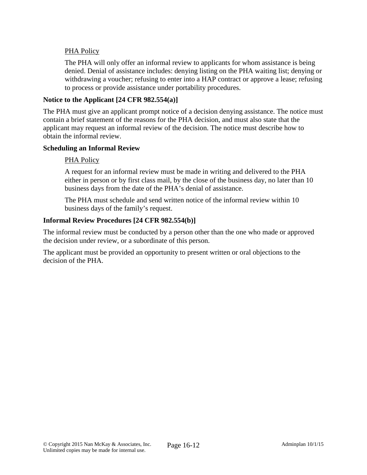# PHA Policy

The PHA will only offer an informal review to applicants for whom assistance is being denied. Denial of assistance includes: denying listing on the PHA waiting list; denying or withdrawing a voucher; refusing to enter into a HAP contract or approve a lease; refusing to process or provide assistance under portability procedures.

# **Notice to the Applicant [24 CFR 982.554(a)]**

The PHA must give an applicant prompt notice of a decision denying assistance. The notice must contain a brief statement of the reasons for the PHA decision, and must also state that the applicant may request an informal review of the decision. The notice must describe how to obtain the informal review.

### **Scheduling an Informal Review**

# PHA Policy

A request for an informal review must be made in writing and delivered to the PHA either in person or by first class mail, by the close of the business day, no later than 10 business days from the date of the PHA's denial of assistance.

The PHA must schedule and send written notice of the informal review within 10 business days of the family's request.

# **Informal Review Procedures [24 CFR 982.554(b)]**

The informal review must be conducted by a person other than the one who made or approved the decision under review, or a subordinate of this person.

The applicant must be provided an opportunity to present written or oral objections to the decision of the PHA.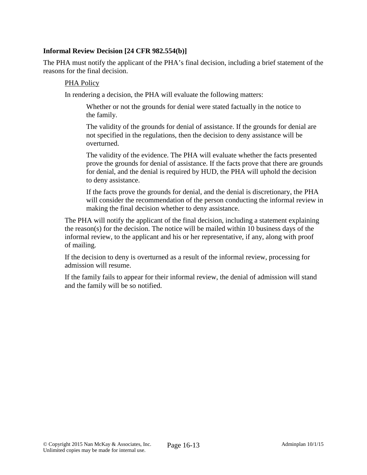### **Informal Review Decision [24 CFR 982.554(b)]**

The PHA must notify the applicant of the PHA's final decision, including a brief statement of the reasons for the final decision.

#### **PHA Policy**

In rendering a decision, the PHA will evaluate the following matters:

Whether or not the grounds for denial were stated factually in the notice to the family.

The validity of the grounds for denial of assistance. If the grounds for denial are not specified in the regulations, then the decision to deny assistance will be overturned.

The validity of the evidence. The PHA will evaluate whether the facts presented prove the grounds for denial of assistance. If the facts prove that there are grounds for denial, and the denial is required by HUD, the PHA will uphold the decision to deny assistance.

If the facts prove the grounds for denial, and the denial is discretionary, the PHA will consider the recommendation of the person conducting the informal review in making the final decision whether to deny assistance.

The PHA will notify the applicant of the final decision, including a statement explaining the reason(s) for the decision. The notice will be mailed within 10 business days of the informal review, to the applicant and his or her representative, if any, along with proof of mailing.

If the decision to deny is overturned as a result of the informal review, processing for admission will resume.

If the family fails to appear for their informal review, the denial of admission will stand and the family will be so notified.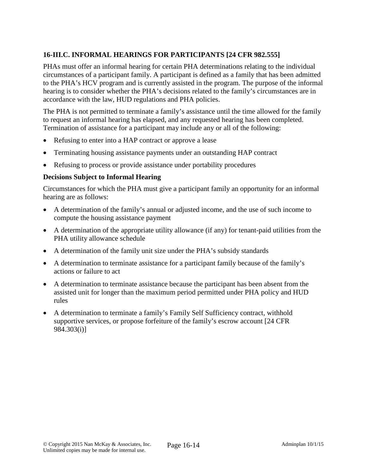# **16-III.C. INFORMAL HEARINGS FOR PARTICIPANTS [24 CFR 982.555]**

PHAs must offer an informal hearing for certain PHA determinations relating to the individual circumstances of a participant family. A participant is defined as a family that has been admitted to the PHA's HCV program and is currently assisted in the program. The purpose of the informal hearing is to consider whether the PHA's decisions related to the family's circumstances are in accordance with the law, HUD regulations and PHA policies.

The PHA is not permitted to terminate a family's assistance until the time allowed for the family to request an informal hearing has elapsed, and any requested hearing has been completed. Termination of assistance for a participant may include any or all of the following:

- Refusing to enter into a HAP contract or approve a lease
- Terminating housing assistance payments under an outstanding HAP contract
- Refusing to process or provide assistance under portability procedures

### **Decisions Subject to Informal Hearing**

Circumstances for which the PHA must give a participant family an opportunity for an informal hearing are as follows:

- A determination of the family's annual or adjusted income, and the use of such income to compute the housing assistance payment
- A determination of the appropriate utility allowance (if any) for tenant-paid utilities from the PHA utility allowance schedule
- A determination of the family unit size under the PHA's subsidy standards
- A determination to terminate assistance for a participant family because of the family's actions or failure to act
- A determination to terminate assistance because the participant has been absent from the assisted unit for longer than the maximum period permitted under PHA policy and HUD rules
- A determination to terminate a family's Family Self Sufficiency contract, withhold supportive services, or propose forfeiture of the family's escrow account [24 CFR 984.303(i)]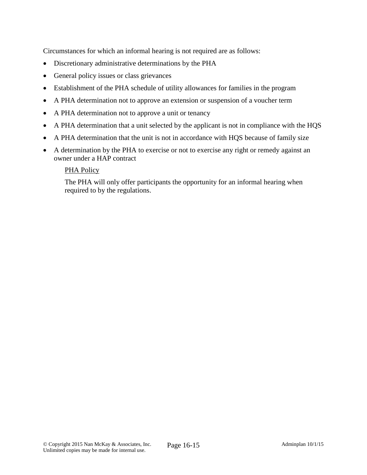Circumstances for which an informal hearing is not required are as follows:

- Discretionary administrative determinations by the PHA
- General policy issues or class grievances
- Establishment of the PHA schedule of utility allowances for families in the program
- A PHA determination not to approve an extension or suspension of a voucher term
- A PHA determination not to approve a unit or tenancy
- A PHA determination that a unit selected by the applicant is not in compliance with the HQS
- A PHA determination that the unit is not in accordance with HQS because of family size
- A determination by the PHA to exercise or not to exercise any right or remedy against an owner under a HAP contract

# PHA Policy

The PHA will only offer participants the opportunity for an informal hearing when required to by the regulations.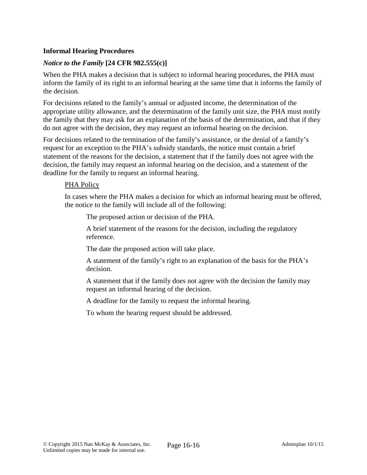# **Informal Hearing Procedures**

# *Notice to the Family* **[24 CFR 982.555(c)]**

When the PHA makes a decision that is subject to informal hearing procedures, the PHA must inform the family of its right to an informal hearing at the same time that it informs the family of the decision.

For decisions related to the family's annual or adjusted income, the determination of the appropriate utility allowance, and the determination of the family unit size, the PHA must notify the family that they may ask for an explanation of the basis of the determination, and that if they do not agree with the decision, they may request an informal hearing on the decision.

For decisions related to the termination of the family's assistance, or the denial of a family's request for an exception to the PHA's subsidy standards, the notice must contain a brief statement of the reasons for the decision, a statement that if the family does not agree with the decision, the family may request an informal hearing on the decision, and a statement of the deadline for the family to request an informal hearing.

### PHA Policy

In cases where the PHA makes a decision for which an informal hearing must be offered, the notice to the family will include all of the following:

The proposed action or decision of the PHA.

A brief statement of the reasons for the decision, including the regulatory reference.

The date the proposed action will take place.

A statement of the family's right to an explanation of the basis for the PHA's decision.

A statement that if the family does not agree with the decision the family may request an informal hearing of the decision.

A deadline for the family to request the informal hearing.

To whom the hearing request should be addressed.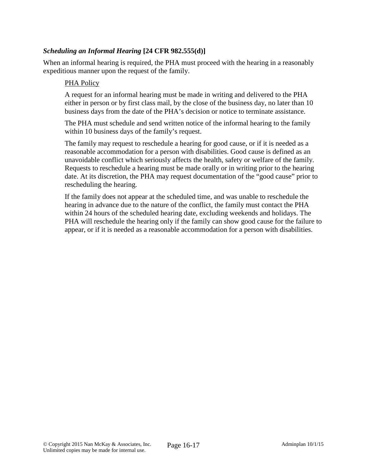# *Scheduling an Informal Hearing* **[24 CFR 982.555(d)]**

When an informal hearing is required, the PHA must proceed with the hearing in a reasonably expeditious manner upon the request of the family.

### PHA Policy

A request for an informal hearing must be made in writing and delivered to the PHA either in person or by first class mail, by the close of the business day, no later than 10 business days from the date of the PHA's decision or notice to terminate assistance.

The PHA must schedule and send written notice of the informal hearing to the family within 10 business days of the family's request.

The family may request to reschedule a hearing for good cause, or if it is needed as a reasonable accommodation for a person with disabilities. Good cause is defined as an unavoidable conflict which seriously affects the health, safety or welfare of the family. Requests to reschedule a hearing must be made orally or in writing prior to the hearing date. At its discretion, the PHA may request documentation of the "good cause" prior to rescheduling the hearing.

If the family does not appear at the scheduled time, and was unable to reschedule the hearing in advance due to the nature of the conflict, the family must contact the PHA within 24 hours of the scheduled hearing date, excluding weekends and holidays. The PHA will reschedule the hearing only if the family can show good cause for the failure to appear, or if it is needed as a reasonable accommodation for a person with disabilities.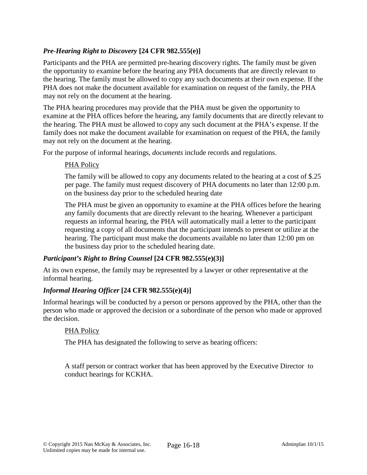# *Pre-Hearing Right to Discovery* **[24 CFR 982.555(e)]**

Participants and the PHA are permitted pre-hearing discovery rights. The family must be given the opportunity to examine before the hearing any PHA documents that are directly relevant to the hearing. The family must be allowed to copy any such documents at their own expense. If the PHA does not make the document available for examination on request of the family, the PHA may not rely on the document at the hearing.

The PHA hearing procedures may provide that the PHA must be given the opportunity to examine at the PHA offices before the hearing, any family documents that are directly relevant to the hearing. The PHA must be allowed to copy any such document at the PHA's expense. If the family does not make the document available for examination on request of the PHA, the family may not rely on the document at the hearing.

For the purpose of informal hearings, *documents* include records and regulations.

### PHA Policy

The family will be allowed to copy any documents related to the hearing at a cost of \$.25 per page. The family must request discovery of PHA documents no later than 12:00 p.m. on the business day prior to the scheduled hearing date

The PHA must be given an opportunity to examine at the PHA offices before the hearing any family documents that are directly relevant to the hearing. Whenever a participant requests an informal hearing, the PHA will automatically mail a letter to the participant requesting a copy of all documents that the participant intends to present or utilize at the hearing. The participant must make the documents available no later than 12:00 pm on the business day prior to the scheduled hearing date.

# *Participant's Right to Bring Counsel* **[24 CFR 982.555(e)(3)]**

At its own expense, the family may be represented by a lawyer or other representative at the informal hearing.

# *Informal Hearing Officer* **[24 CFR 982.555(e)(4)]**

Informal hearings will be conducted by a person or persons approved by the PHA, other than the person who made or approved the decision or a subordinate of the person who made or approved the decision.

#### PHA Policy

The PHA has designated the following to serve as hearing officers:

A staff person or contract worker that has been approved by the Executive Director to conduct hearings for KCKHA.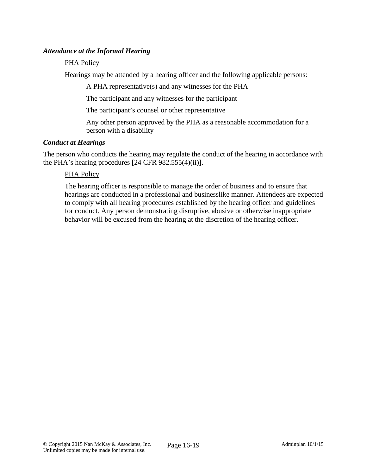### *Attendance at the Informal Hearing*

#### PHA Policy

Hearings may be attended by a hearing officer and the following applicable persons:

A PHA representative(s) and any witnesses for the PHA

The participant and any witnesses for the participant

The participant's counsel or other representative

Any other person approved by the PHA as a reasonable accommodation for a person with a disability

### *Conduct at Hearings*

The person who conducts the hearing may regulate the conduct of the hearing in accordance with the PHA's hearing procedures [24 CFR 982.555(4)(ii)].

# PHA Policy

The hearing officer is responsible to manage the order of business and to ensure that hearings are conducted in a professional and businesslike manner. Attendees are expected to comply with all hearing procedures established by the hearing officer and guidelines for conduct. Any person demonstrating disruptive, abusive or otherwise inappropriate behavior will be excused from the hearing at the discretion of the hearing officer.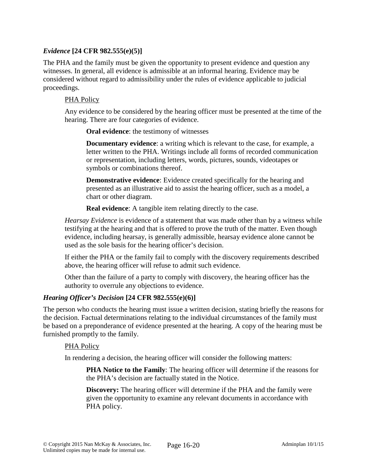# *Evidence* **[24 CFR 982.555(e)(5)]**

The PHA and the family must be given the opportunity to present evidence and question any witnesses. In general, all evidence is admissible at an informal hearing. Evidence may be considered without regard to admissibility under the rules of evidence applicable to judicial proceedings.

#### PHA Policy

Any evidence to be considered by the hearing officer must be presented at the time of the hearing. There are four categories of evidence.

**Oral evidence**: the testimony of witnesses

**Documentary evidence**: a writing which is relevant to the case, for example, a letter written to the PHA. Writings include all forms of recorded communication or representation, including letters, words, pictures, sounds, videotapes or symbols or combinations thereof.

**Demonstrative evidence**: Evidence created specifically for the hearing and presented as an illustrative aid to assist the hearing officer, such as a model, a chart or other diagram.

**Real evidence:** A tangible item relating directly to the case.

*Hearsay Evidence* is evidence of a statement that was made other than by a witness while testifying at the hearing and that is offered to prove the truth of the matter. Even though evidence, including hearsay, is generally admissible, hearsay evidence alone cannot be used as the sole basis for the hearing officer's decision.

If either the PHA or the family fail to comply with the discovery requirements described above, the hearing officer will refuse to admit such evidence.

Other than the failure of a party to comply with discovery, the hearing officer has the authority to overrule any objections to evidence.

#### *Hearing Officer's Decision* **[24 CFR 982.555(e)(6)]**

The person who conducts the hearing must issue a written decision, stating briefly the reasons for the decision. Factual determinations relating to the individual circumstances of the family must be based on a preponderance of evidence presented at the hearing. A copy of the hearing must be furnished promptly to the family.

#### PHA Policy

In rendering a decision, the hearing officer will consider the following matters:

**PHA Notice to the Family**: The hearing officer will determine if the reasons for the PHA's decision are factually stated in the Notice.

**Discovery:** The hearing officer will determine if the PHA and the family were given the opportunity to examine any relevant documents in accordance with PHA policy.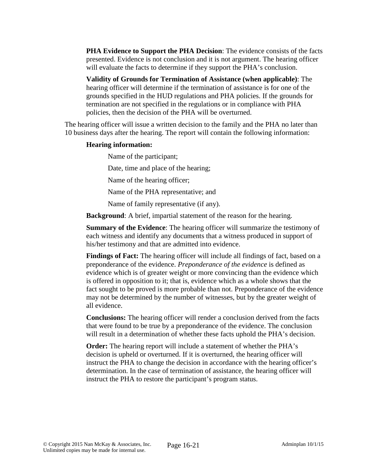**PHA Evidence to Support the PHA Decision**: The evidence consists of the facts presented. Evidence is not conclusion and it is not argument. The hearing officer will evaluate the facts to determine if they support the PHA's conclusion.

**Validity of Grounds for Termination of Assistance (when applicable)**: The hearing officer will determine if the termination of assistance is for one of the grounds specified in the HUD regulations and PHA policies. If the grounds for termination are not specified in the regulations or in compliance with PHA policies, then the decision of the PHA will be overturned.

The hearing officer will issue a written decision to the family and the PHA no later than 10 business days after the hearing. The report will contain the following information:

### **Hearing information:**

Name of the participant; Date, time and place of the hearing; Name of the hearing officer; Name of the PHA representative; and Name of family representative (if any).

**Background**: A brief, impartial statement of the reason for the hearing.

**Summary of the Evidence**: The hearing officer will summarize the testimony of each witness and identify any documents that a witness produced in support of his/her testimony and that are admitted into evidence.

**Findings of Fact:** The hearing officer will include all findings of fact, based on a preponderance of the evidence. *Preponderance of the evidence* is defined as evidence which is of greater weight or more convincing than the evidence which is offered in opposition to it; that is, evidence which as a whole shows that the fact sought to be proved is more probable than not. Preponderance of the evidence may not be determined by the number of witnesses, but by the greater weight of all evidence.

**Conclusions:** The hearing officer will render a conclusion derived from the facts that were found to be true by a preponderance of the evidence. The conclusion will result in a determination of whether these facts uphold the PHA's decision.

**Order:** The hearing report will include a statement of whether the PHA's decision is upheld or overturned. If it is overturned, the hearing officer will instruct the PHA to change the decision in accordance with the hearing officer's determination. In the case of termination of assistance, the hearing officer will instruct the PHA to restore the participant's program status.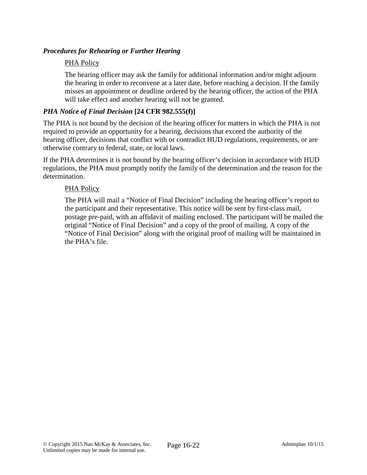# *Procedures for Rehearing or Further Hearing*

### PHA Policy

The hearing officer may ask the family for additional information and/or might adjourn the hearing in order to reconvene at a later date, before reaching a decision. If the family misses an appointment or deadline ordered by the hearing officer, the action of the PHA will take effect and another hearing will not be granted.

### *PHA Notice of Final Decision* **[24 CFR 982.555(f)]**

The PHA is not bound by the decision of the hearing officer for matters in which the PHA is not required to provide an opportunity for a hearing, decisions that exceed the authority of the hearing officer, decisions that conflict with or contradict HUD regulations, requirements, or are otherwise contrary to federal, state, or local laws.

If the PHA determines it is not bound by the hearing officer's decision in accordance with HUD regulations, the PHA must promptly notify the family of the determination and the reason for the determination.

#### PHA Policy

The PHA will mail a "Notice of Final Decision" including the hearing officer's report to the participant and their representative. This notice will be sent by first-class mail, postage pre-paid, with an affidavit of mailing enclosed. The participant will be mailed the original "Notice of Final Decision" and a copy of the proof of mailing. A copy of the "Notice of Final Decision" along with the original proof of mailing will be maintained in the PHA's file.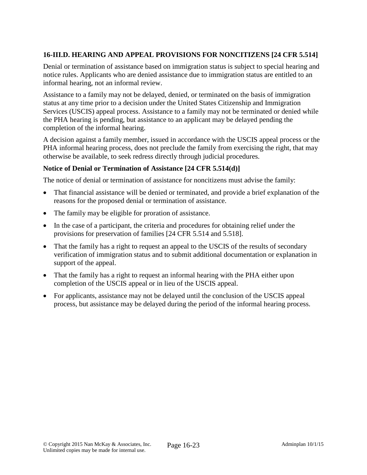# **16-III.D. HEARING AND APPEAL PROVISIONS FOR NONCITIZENS [24 CFR 5.514]**

Denial or termination of assistance based on immigration status is subject to special hearing and notice rules. Applicants who are denied assistance due to immigration status are entitled to an informal hearing, not an informal review.

Assistance to a family may not be delayed, denied, or terminated on the basis of immigration status at any time prior to a decision under the United States Citizenship and Immigration Services (USCIS) appeal process. Assistance to a family may not be terminated or denied while the PHA hearing is pending, but assistance to an applicant may be delayed pending the completion of the informal hearing.

A decision against a family member, issued in accordance with the USCIS appeal process or the PHA informal hearing process, does not preclude the family from exercising the right, that may otherwise be available, to seek redress directly through judicial procedures.

### **Notice of Denial or Termination of Assistance [24 CFR 5.514(d)]**

The notice of denial or termination of assistance for noncitizens must advise the family:

- That financial assistance will be denied or terminated, and provide a brief explanation of the reasons for the proposed denial or termination of assistance.
- The family may be eligible for proration of assistance.
- In the case of a participant, the criteria and procedures for obtaining relief under the provisions for preservation of families [24 CFR 5.514 and 5.518].
- That the family has a right to request an appeal to the USCIS of the results of secondary verification of immigration status and to submit additional documentation or explanation in support of the appeal.
- That the family has a right to request an informal hearing with the PHA either upon completion of the USCIS appeal or in lieu of the USCIS appeal.
- For applicants, assistance may not be delayed until the conclusion of the USCIS appeal process, but assistance may be delayed during the period of the informal hearing process.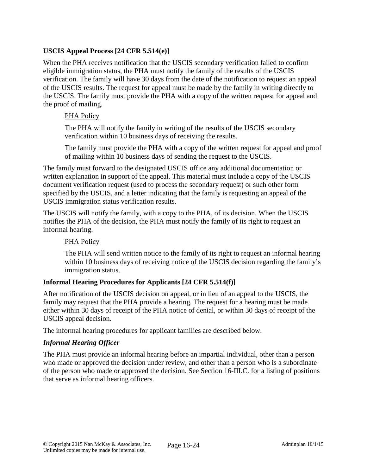# **USCIS Appeal Process [24 CFR 5.514(e)]**

When the PHA receives notification that the USCIS secondary verification failed to confirm eligible immigration status, the PHA must notify the family of the results of the USCIS verification. The family will have 30 days from the date of the notification to request an appeal of the USCIS results. The request for appeal must be made by the family in writing directly to the USCIS. The family must provide the PHA with a copy of the written request for appeal and the proof of mailing.

# PHA Policy

The PHA will notify the family in writing of the results of the USCIS secondary verification within 10 business days of receiving the results.

The family must provide the PHA with a copy of the written request for appeal and proof of mailing within 10 business days of sending the request to the USCIS.

The family must forward to the designated USCIS office any additional documentation or written explanation in support of the appeal. This material must include a copy of the USCIS document verification request (used to process the secondary request) or such other form specified by the USCIS, and a letter indicating that the family is requesting an appeal of the USCIS immigration status verification results.

The USCIS will notify the family, with a copy to the PHA, of its decision. When the USCIS notifies the PHA of the decision, the PHA must notify the family of its right to request an informal hearing.

# PHA Policy

The PHA will send written notice to the family of its right to request an informal hearing within 10 business days of receiving notice of the USCIS decision regarding the family's immigration status.

# **Informal Hearing Procedures for Applicants [24 CFR 5.514(f)]**

After notification of the USCIS decision on appeal, or in lieu of an appeal to the USCIS, the family may request that the PHA provide a hearing. The request for a hearing must be made either within 30 days of receipt of the PHA notice of denial, or within 30 days of receipt of the USCIS appeal decision.

The informal hearing procedures for applicant families are described below.

# *Informal Hearing Officer*

The PHA must provide an informal hearing before an impartial individual, other than a person who made or approved the decision under review, and other than a person who is a subordinate of the person who made or approved the decision. See Section 16-III.C. for a listing of positions that serve as informal hearing officers.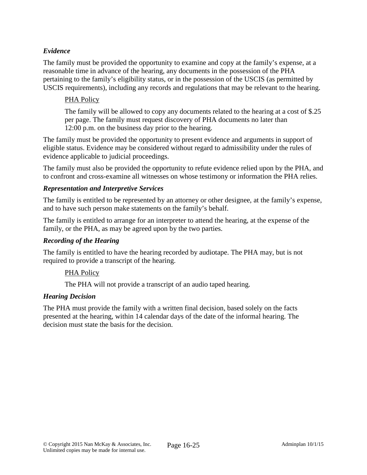# *Evidence*

The family must be provided the opportunity to examine and copy at the family's expense, at a reasonable time in advance of the hearing, any documents in the possession of the PHA pertaining to the family's eligibility status, or in the possession of the USCIS (as permitted by USCIS requirements), including any records and regulations that may be relevant to the hearing.

### PHA Policy

The family will be allowed to copy any documents related to the hearing at a cost of \$.25 per page. The family must request discovery of PHA documents no later than 12:00 p.m. on the business day prior to the hearing.

The family must be provided the opportunity to present evidence and arguments in support of eligible status. Evidence may be considered without regard to admissibility under the rules of evidence applicable to judicial proceedings.

The family must also be provided the opportunity to refute evidence relied upon by the PHA, and to confront and cross-examine all witnesses on whose testimony or information the PHA relies.

### *Representation and Interpretive Services*

The family is entitled to be represented by an attorney or other designee, at the family's expense, and to have such person make statements on the family's behalf.

The family is entitled to arrange for an interpreter to attend the hearing, at the expense of the family, or the PHA, as may be agreed upon by the two parties.

#### *Recording of the Hearing*

The family is entitled to have the hearing recorded by audiotape. The PHA may, but is not required to provide a transcript of the hearing.

# PHA Policy

The PHA will not provide a transcript of an audio taped hearing.

#### *Hearing Decision*

The PHA must provide the family with a written final decision, based solely on the facts presented at the hearing, within 14 calendar days of the date of the informal hearing. The decision must state the basis for the decision.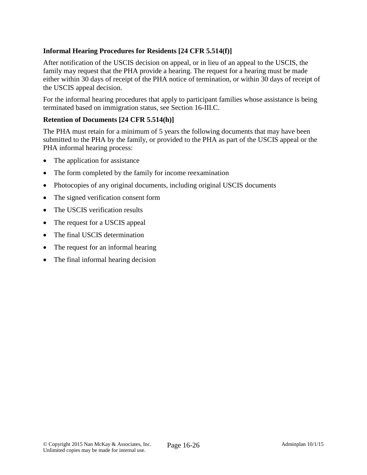# **Informal Hearing Procedures for Residents [24 CFR 5.514(f)]**

After notification of the USCIS decision on appeal, or in lieu of an appeal to the USCIS, the family may request that the PHA provide a hearing. The request for a hearing must be made either within 30 days of receipt of the PHA notice of termination, or within 30 days of receipt of the USCIS appeal decision.

For the informal hearing procedures that apply to participant families whose assistance is being terminated based on immigration status, see Section 16-III.C.

### **Retention of Documents [24 CFR 5.514(h)]**

The PHA must retain for a minimum of 5 years the following documents that may have been submitted to the PHA by the family, or provided to the PHA as part of the USCIS appeal or the PHA informal hearing process:

- The application for assistance
- The form completed by the family for income reexamination
- Photocopies of any original documents, including original USCIS documents
- The signed verification consent form
- The USCIS verification results
- The request for a USCIS appeal
- The final USCIS determination
- The request for an informal hearing
- The final informal hearing decision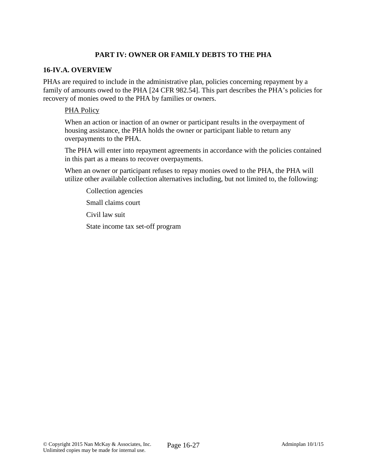# **PART IV: OWNER OR FAMILY DEBTS TO THE PHA**

### **16-IV.A. OVERVIEW**

PHAs are required to include in the administrative plan, policies concerning repayment by a family of amounts owed to the PHA [24 CFR 982.54]. This part describes the PHA's policies for recovery of monies owed to the PHA by families or owners.

#### PHA Policy

When an action or inaction of an owner or participant results in the overpayment of housing assistance, the PHA holds the owner or participant liable to return any overpayments to the PHA.

The PHA will enter into repayment agreements in accordance with the policies contained in this part as a means to recover overpayments.

When an owner or participant refuses to repay monies owed to the PHA, the PHA will utilize other available collection alternatives including, but not limited to, the following:

Collection agencies

Small claims court

Civil law suit

State income tax set-off program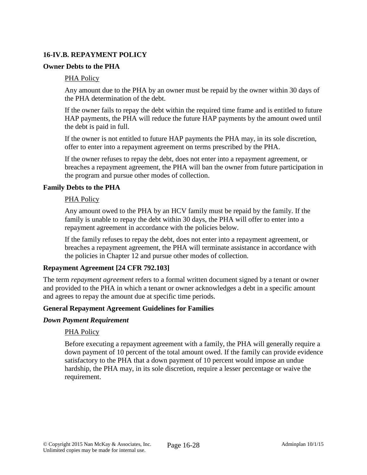# **16-IV.B. REPAYMENT POLICY**

#### **Owner Debts to the PHA**

#### PHA Policy

Any amount due to the PHA by an owner must be repaid by the owner within 30 days of the PHA determination of the debt.

If the owner fails to repay the debt within the required time frame and is entitled to future HAP payments, the PHA will reduce the future HAP payments by the amount owed until the debt is paid in full.

If the owner is not entitled to future HAP payments the PHA may, in its sole discretion, offer to enter into a repayment agreement on terms prescribed by the PHA.

If the owner refuses to repay the debt, does not enter into a repayment agreement, or breaches a repayment agreement, the PHA will ban the owner from future participation in the program and pursue other modes of collection.

#### **Family Debts to the PHA**

#### PHA Policy

Any amount owed to the PHA by an HCV family must be repaid by the family. If the family is unable to repay the debt within 30 days, the PHA will offer to enter into a repayment agreement in accordance with the policies below.

If the family refuses to repay the debt, does not enter into a repayment agreement, or breaches a repayment agreement, the PHA will terminate assistance in accordance with the policies in Chapter 12 and pursue other modes of collection.

#### **Repayment Agreement [24 CFR 792.103]**

The term *repayment agreement* refers to a formal written document signed by a tenant or owner and provided to the PHA in which a tenant or owner acknowledges a debt in a specific amount and agrees to repay the amount due at specific time periods.

#### **General Repayment Agreement Guidelines for Families**

#### *Down Payment Requirement*

#### PHA Policy

Before executing a repayment agreement with a family, the PHA will generally require a down payment of 10 percent of the total amount owed. If the family can provide evidence satisfactory to the PHA that a down payment of 10 percent would impose an undue hardship, the PHA may, in its sole discretion, require a lesser percentage or waive the requirement.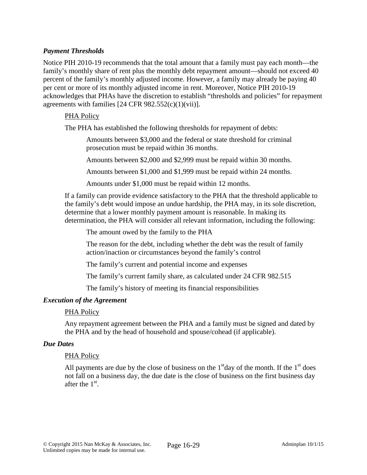# *Payment Thresholds*

Notice PIH 2010-19 recommends that the total amount that a family must pay each month—the family's monthly share of rent plus the monthly debt repayment amount—should not exceed 40 percent of the family's monthly adjusted income. However, a family may already be paying 40 per cent or more of its monthly adjusted income in rent. Moreover, Notice PIH 2010-19 acknowledges that PHAs have the discretion to establish "thresholds and policies" for repayment agreements with families  $[24 \text{ CFR } 982.552(c)(1)(vii)].$ 

#### PHA Policy

The PHA has established the following thresholds for repayment of debts:

Amounts between \$3,000 and the federal or state threshold for criminal prosecution must be repaid within 36 months.

Amounts between \$2,000 and \$2,999 must be repaid within 30 months.

Amounts between \$1,000 and \$1,999 must be repaid within 24 months.

Amounts under \$1,000 must be repaid within 12 months.

If a family can provide evidence satisfactory to the PHA that the threshold applicable to the family's debt would impose an undue hardship, the PHA may, in its sole discretion, determine that a lower monthly payment amount is reasonable. In making its determination, the PHA will consider all relevant information, including the following:

The amount owed by the family to the PHA

The reason for the debt, including whether the debt was the result of family action/inaction or circumstances beyond the family's control

The family's current and potential income and expenses

The family's current family share, as calculated under 24 CFR 982.515

The family's history of meeting its financial responsibilities

#### *Execution of the Agreement*

#### PHA Policy

Any repayment agreement between the PHA and a family must be signed and dated by the PHA and by the head of household and spouse/cohead (if applicable).

#### *Due Dates*

#### PHA Policy

All payments are due by the close of business on the  $1<sup>st</sup>$  day of the month. If the  $1<sup>st</sup>$  does not fall on a business day, the due date is the close of business on the first business day after the  $1<sup>st</sup>$ .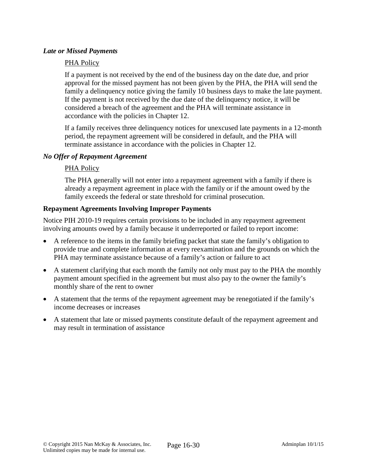### *Late or Missed Payments*

### PHA Policy

If a payment is not received by the end of the business day on the date due, and prior approval for the missed payment has not been given by the PHA, the PHA will send the family a delinquency notice giving the family 10 business days to make the late payment. If the payment is not received by the due date of the delinquency notice, it will be considered a breach of the agreement and the PHA will terminate assistance in accordance with the policies in Chapter 12.

If a family receives three delinquency notices for unexcused late payments in a 12-month period, the repayment agreement will be considered in default, and the PHA will terminate assistance in accordance with the policies in Chapter 12.

### *No Offer of Repayment Agreement*

### PHA Policy

The PHA generally will not enter into a repayment agreement with a family if there is already a repayment agreement in place with the family or if the amount owed by the family exceeds the federal or state threshold for criminal prosecution.

### **Repayment Agreements Involving Improper Payments**

Notice PIH 2010-19 requires certain provisions to be included in any repayment agreement involving amounts owed by a family because it underreported or failed to report income:

- A reference to the items in the family briefing packet that state the family's obligation to provide true and complete information at every reexamination and the grounds on which the PHA may terminate assistance because of a family's action or failure to act
- A statement clarifying that each month the family not only must pay to the PHA the monthly payment amount specified in the agreement but must also pay to the owner the family's monthly share of the rent to owner
- A statement that the terms of the repayment agreement may be renegotiated if the family's income decreases or increases
- A statement that late or missed payments constitute default of the repayment agreement and may result in termination of assistance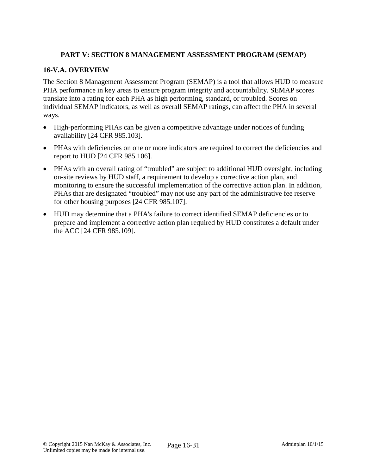# **PART V: SECTION 8 MANAGEMENT ASSESSMENT PROGRAM (SEMAP)**

### **16-V.A. OVERVIEW**

The Section 8 Management Assessment Program (SEMAP) is a tool that allows HUD to measure PHA performance in key areas to ensure program integrity and accountability. SEMAP scores translate into a rating for each PHA as high performing, standard, or troubled. Scores on individual SEMAP indicators, as well as overall SEMAP ratings, can affect the PHA in several ways.

- High-performing PHAs can be given a competitive advantage under notices of funding availability [24 CFR 985.103].
- PHAs with deficiencies on one or more indicators are required to correct the deficiencies and report to HUD [24 CFR 985.106].
- PHAs with an overall rating of "troubled" are subject to additional HUD oversight, including on-site reviews by HUD staff, a requirement to develop a corrective action plan, and monitoring to ensure the successful implementation of the corrective action plan. In addition, PHAs that are designated "troubled" may not use any part of the administrative fee reserve for other housing purposes [24 CFR 985.107].
- HUD may determine that a PHA's failure to correct identified SEMAP deficiencies or to prepare and implement a corrective action plan required by HUD constitutes a default under the ACC [24 CFR 985.109].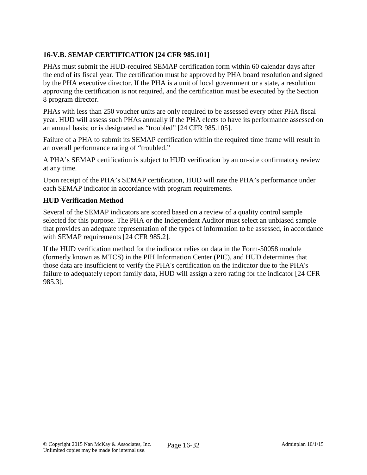# **16-V.B. SEMAP CERTIFICATION [24 CFR 985.101]**

PHAs must submit the HUD-required SEMAP certification form within 60 calendar days after the end of its fiscal year. The certification must be approved by PHA board resolution and signed by the PHA executive director. If the PHA is a unit of local government or a state, a resolution approving the certification is not required, and the certification must be executed by the Section 8 program director.

PHAs with less than 250 voucher units are only required to be assessed every other PHA fiscal year. HUD will assess such PHAs annually if the PHA elects to have its performance assessed on an annual basis; or is designated as "troubled" [24 CFR 985.105].

Failure of a PHA to submit its SEMAP certification within the required time frame will result in an overall performance rating of "troubled."

A PHA's SEMAP certification is subject to HUD verification by an on-site confirmatory review at any time.

Upon receipt of the PHA's SEMAP certification, HUD will rate the PHA's performance under each SEMAP indicator in accordance with program requirements.

# **HUD Verification Method**

Several of the SEMAP indicators are scored based on a review of a quality control sample selected for this purpose. The PHA or the Independent Auditor must select an unbiased sample that provides an adequate representation of the types of information to be assessed, in accordance with SEMAP requirements [24 CFR 985.2].

If the HUD verification method for the indicator relies on data in the Form-50058 module (formerly known as MTCS) in the PIH Information Center (PIC), and HUD determines that those data are insufficient to verify the PHA's certification on the indicator due to the PHA's failure to adequately report family data, HUD will assign a zero rating for the indicator [24 CFR 985.3].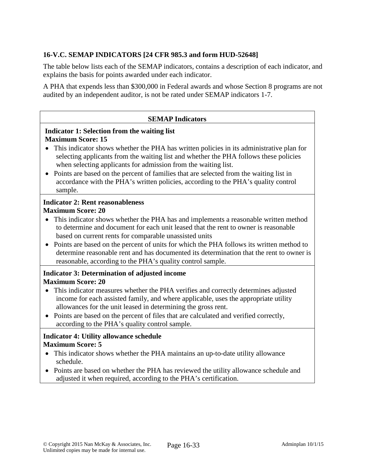# **16-V.C. SEMAP INDICATORS [24 CFR 985.3 and form HUD-52648]**

The table below lists each of the SEMAP indicators, contains a description of each indicator, and explains the basis for points awarded under each indicator.

A PHA that expends less than \$300,000 in Federal awards and whose Section 8 programs are not audited by an independent auditor, is not be rated under SEMAP indicators 1-7.

#### **SEMAP Indicators**

### **Indicator 1: Selection from the waiting list Maximum Score: 15**

- This indicator shows whether the PHA has written policies in its administrative plan for selecting applicants from the waiting list and whether the PHA follows these policies when selecting applicants for admission from the waiting list.
- Points are based on the percent of families that are selected from the waiting list in accordance with the PHA's written policies, according to the PHA's quality control sample.

#### **Indicator 2: Rent reasonableness Maximum Score: 20**

- This indicator shows whether the PHA has and implements a reasonable written method to determine and document for each unit leased that the rent to owner is reasonable based on current rents for comparable unassisted units
- Points are based on the percent of units for which the PHA follows its written method to determine reasonable rent and has documented its determination that the rent to owner is reasonable, according to the PHA's quality control sample.

# **Indicator 3: Determination of adjusted income Maximum Score: 20**

- This indicator measures whether the PHA verifies and correctly determines adjusted income for each assisted family, and where applicable, uses the appropriate utility allowances for the unit leased in determining the gross rent.
- Points are based on the percent of files that are calculated and verified correctly, according to the PHA's quality control sample.

### **Indicator 4: Utility allowance schedule Maximum Score: 5**

- This indicator shows whether the PHA maintains an up-to-date utility allowance schedule.
- Points are based on whether the PHA has reviewed the utility allowance schedule and adjusted it when required, according to the PHA's certification.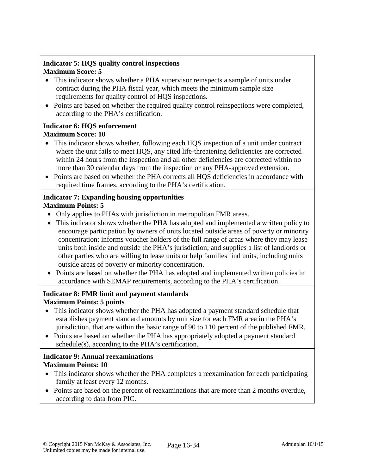# **Indicator 5: HQS quality control inspections Maximum Score: 5**

- This indicator shows whether a PHA supervisor reinspects a sample of units under contract during the PHA fiscal year, which meets the minimum sample size requirements for quality control of HQS inspections.
- Points are based on whether the required quality control reinspections were completed, according to the PHA's certification.

# **Indicator 6: HQS enforcement Maximum Score: 10**

- This indicator shows whether, following each HQS inspection of a unit under contract where the unit fails to meet HQS, any cited life-threatening deficiencies are corrected within 24 hours from the inspection and all other deficiencies are corrected within no more than 30 calendar days from the inspection or any PHA-approved extension.
- Points are based on whether the PHA corrects all HQS deficiencies in accordance with required time frames, according to the PHA's certification.

#### **Indicator 7: Expanding housing opportunities Maximum Points: 5**

- Only applies to PHAs with jurisdiction in metropolitan FMR areas.
- This indicator shows whether the PHA has adopted and implemented a written policy to encourage participation by owners of units located outside areas of poverty or minority concentration; informs voucher holders of the full range of areas where they may lease units both inside and outside the PHA's jurisdiction; and supplies a list of landlords or other parties who are willing to lease units or help families find units, including units outside areas of poverty or minority concentration.
- Points are based on whether the PHA has adopted and implemented written policies in accordance with SEMAP requirements, according to the PHA's certification.

# **Indicator 8: FMR limit and payment standards Maximum Points: 5 points**

- This indicator shows whether the PHA has adopted a payment standard schedule that establishes payment standard amounts by unit size for each FMR area in the PHA's jurisdiction, that are within the basic range of 90 to 110 percent of the published FMR.
- Points are based on whether the PHA has appropriately adopted a payment standard schedule(s), according to the PHA's certification.

# **Indicator 9: Annual reexaminations Maximum Points: 10**

- This indicator shows whether the PHA completes a reexamination for each participating family at least every 12 months.
- Points are based on the percent of reexaminations that are more than 2 months overdue, according to data from PIC.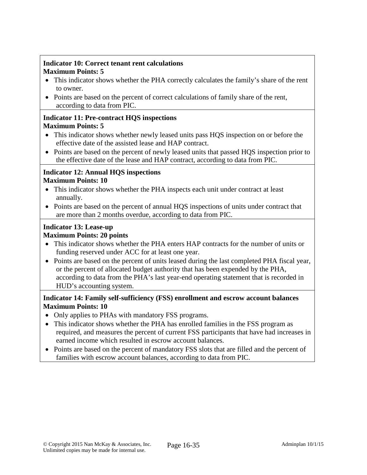# **Indicator 10: Correct tenant rent calculations Maximum Points: 5**

- This indicator shows whether the PHA correctly calculates the family's share of the rent to owner.
- Points are based on the percent of correct calculations of family share of the rent, according to data from PIC.

#### **Indicator 11: Pre-contract HQS inspections Maximum Points: 5**

- This indicator shows whether newly leased units pass HQS inspection on or before the effective date of the assisted lease and HAP contract.
- Points are based on the percent of newly leased units that passed HQS inspection prior to the effective date of the lease and HAP contract, according to data from PIC.

# **Indicator 12: Annual HQS inspections Maximum Points: 10**

- This indicator shows whether the PHA inspects each unit under contract at least annually.
- Points are based on the percent of annual HQS inspections of units under contract that are more than 2 months overdue, according to data from PIC.

# **Indicator 13: Lease-up**

# **Maximum Points: 20 points**

- This indicator shows whether the PHA enters HAP contracts for the number of units or funding reserved under ACC for at least one year.
- Points are based on the percent of units leased during the last completed PHA fiscal year, or the percent of allocated budget authority that has been expended by the PHA, according to data from the PHA's last year-end operating statement that is recorded in HUD's accounting system.

# **Indicator 14: Family self-sufficiency (FSS) enrollment and escrow account balances Maximum Points: 10**

- Only applies to PHAs with mandatory FSS programs.
- This indicator shows whether the PHA has enrolled families in the FSS program as required, and measures the percent of current FSS participants that have had increases in earned income which resulted in escrow account balances.
- Points are based on the percent of mandatory FSS slots that are filled and the percent of families with escrow account balances, according to data from PIC.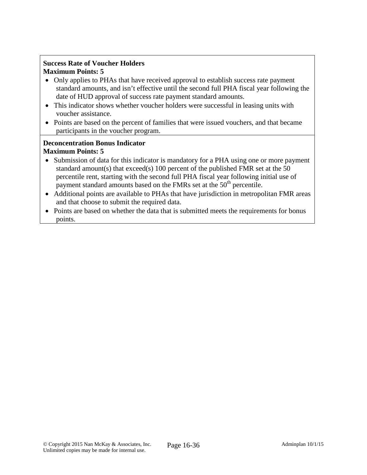# **Success Rate of Voucher Holders Maximum Points: 5**

- Only applies to PHAs that have received approval to establish success rate payment standard amounts, and isn't effective until the second full PHA fiscal year following the date of HUD approval of success rate payment standard amounts.
- This indicator shows whether voucher holders were successful in leasing units with voucher assistance.
- Points are based on the percent of families that were issued vouchers, and that became participants in the voucher program.

### **Deconcentration Bonus Indicator Maximum Points: 5**

- Submission of data for this indicator is mandatory for a PHA using one or more payment standard amount(s) that exceed(s) 100 percent of the published FMR set at the 50 percentile rent, starting with the second full PHA fiscal year following initial use of payment standard amounts based on the FMRs set at the 50<sup>th</sup> percentile.
- Additional points are available to PHAs that have jurisdiction in metropolitan FMR areas and that choose to submit the required data.
- Points are based on whether the data that is submitted meets the requirements for bonus points.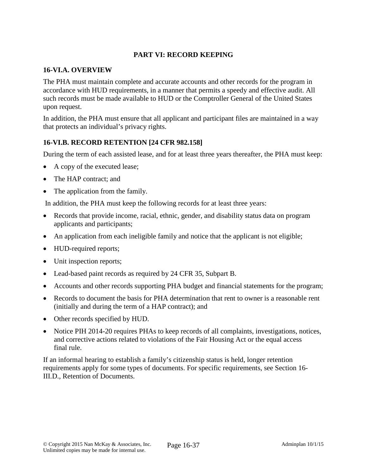# **PART VI: RECORD KEEPING**

#### **16-VI.A. OVERVIEW**

The PHA must maintain complete and accurate accounts and other records for the program in accordance with HUD requirements, in a manner that permits a speedy and effective audit. All such records must be made available to HUD or the Comptroller General of the United States upon request.

In addition, the PHA must ensure that all applicant and participant files are maintained in a way that protects an individual's privacy rights.

# **16-VI.B. RECORD RETENTION [24 CFR 982.158]**

During the term of each assisted lease, and for at least three years thereafter, the PHA must keep:

- A copy of the executed lease;
- The HAP contract: and
- The application from the family.

In addition, the PHA must keep the following records for at least three years:

- Records that provide income, racial, ethnic, gender, and disability status data on program applicants and participants;
- An application from each ineligible family and notice that the applicant is not eligible;
- HUD-required reports;
- Unit inspection reports;
- Lead-based paint records as required by 24 CFR 35, Subpart B.
- Accounts and other records supporting PHA budget and financial statements for the program;
- Records to document the basis for PHA determination that rent to owner is a reasonable rent (initially and during the term of a HAP contract); and
- Other records specified by HUD.
- Notice PIH 2014-20 requires PHAs to keep records of all complaints, investigations, notices, and corrective actions related to violations of the Fair Housing Act or the equal access final rule.

If an informal hearing to establish a family's citizenship status is held, longer retention requirements apply for some types of documents. For specific requirements, see Section 16- III.D., Retention of Documents.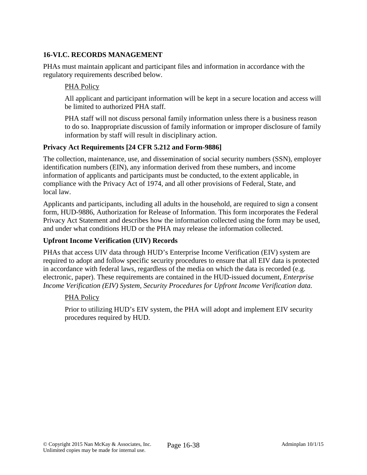# **16-VI.C. RECORDS MANAGEMENT**

PHAs must maintain applicant and participant files and information in accordance with the regulatory requirements described below.

### PHA Policy

All applicant and participant information will be kept in a secure location and access will be limited to authorized PHA staff.

PHA staff will not discuss personal family information unless there is a business reason to do so. Inappropriate discussion of family information or improper disclosure of family information by staff will result in disciplinary action.

### **Privacy Act Requirements [24 CFR 5.212 and Form-9886]**

The collection, maintenance, use, and dissemination of social security numbers (SSN), employer identification numbers (EIN), any information derived from these numbers, and income information of applicants and participants must be conducted, to the extent applicable, in compliance with the Privacy Act of 1974, and all other provisions of Federal, State, and local law.

Applicants and participants, including all adults in the household, are required to sign a consent form, HUD-9886, Authorization for Release of Information. This form incorporates the Federal Privacy Act Statement and describes how the information collected using the form may be used, and under what conditions HUD or the PHA may release the information collected.

### **Upfront Income Verification (UIV) Records**

PHAs that access UIV data through HUD's Enterprise Income Verification (EIV) system are required to adopt and follow specific security procedures to ensure that all EIV data is protected in accordance with federal laws, regardless of the media on which the data is recorded (e.g. electronic, paper). These requirements are contained in the HUD-issued document, *Enterprise Income Verification (EIV) System, Security Procedures for Upfront Income Verification data.*

#### PHA Policy

Prior to utilizing HUD's EIV system, the PHA will adopt and implement EIV security procedures required by HUD.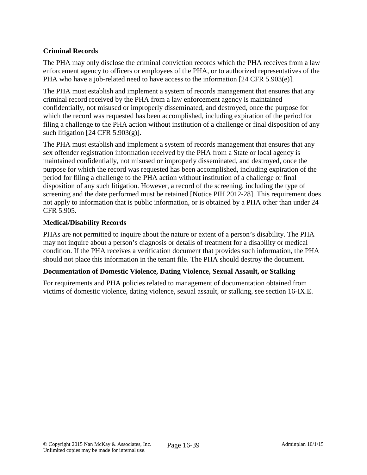# **Criminal Records**

The PHA may only disclose the criminal conviction records which the PHA receives from a law enforcement agency to officers or employees of the PHA, or to authorized representatives of the PHA who have a job-related need to have access to the information [24 CFR 5.903(e)].

The PHA must establish and implement a system of records management that ensures that any criminal record received by the PHA from a law enforcement agency is maintained confidentially, not misused or improperly disseminated, and destroyed, once the purpose for which the record was requested has been accomplished, including expiration of the period for filing a challenge to the PHA action without institution of a challenge or final disposition of any such litigation  $[24 \text{ CFR } 5.903(g)]$ .

The PHA must establish and implement a system of records management that ensures that any sex offender registration information received by the PHA from a State or local agency is maintained confidentially, not misused or improperly disseminated, and destroyed, once the purpose for which the record was requested has been accomplished, including expiration of the period for filing a challenge to the PHA action without institution of a challenge or final disposition of any such litigation. However, a record of the screening, including the type of screening and the date performed must be retained [Notice PIH 2012-28]. This requirement does not apply to information that is public information, or is obtained by a PHA other than under 24 CFR 5.905.

# **Medical/Disability Records**

PHAs are not permitted to inquire about the nature or extent of a person's disability. The PHA may not inquire about a person's diagnosis or details of treatment for a disability or medical condition. If the PHA receives a verification document that provides such information, the PHA should not place this information in the tenant file. The PHA should destroy the document.

# **Documentation of Domestic Violence, Dating Violence, Sexual Assault, or Stalking**

For requirements and PHA policies related to management of documentation obtained from victims of domestic violence, dating violence, sexual assault, or stalking, see section 16-IX.E.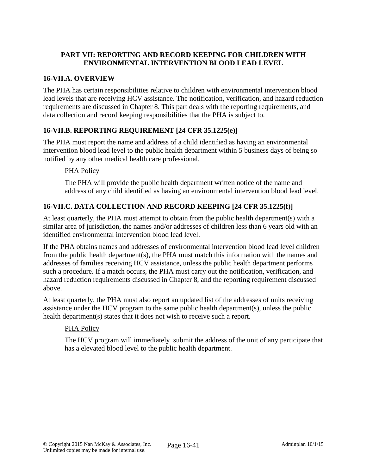# **PART VII: REPORTING AND RECORD KEEPING FOR CHILDREN WITH ENVIRONMENTAL INTERVENTION BLOOD LEAD LEVEL**

# **16-VII.A. OVERVIEW**

The PHA has certain responsibilities relative to children with environmental intervention blood lead levels that are receiving HCV assistance. The notification, verification, and hazard reduction requirements are discussed in Chapter 8. This part deals with the reporting requirements, and data collection and record keeping responsibilities that the PHA is subject to.

# **16-VII.B. REPORTING REQUIREMENT [24 CFR 35.1225(e)]**

The PHA must report the name and address of a child identified as having an environmental intervention blood lead level to the public health department within 5 business days of being so notified by any other medical health care professional.

# PHA Policy

The PHA will provide the public health department written notice of the name and address of any child identified as having an environmental intervention blood lead level.

# **16-VII.C. DATA COLLECTION AND RECORD KEEPING [24 CFR 35.1225(f)]**

At least quarterly, the PHA must attempt to obtain from the public health department(s) with a similar area of jurisdiction, the names and/or addresses of children less than 6 years old with an identified environmental intervention blood lead level.

If the PHA obtains names and addresses of environmental intervention blood lead level children from the public health department(s), the PHA must match this information with the names and addresses of families receiving HCV assistance, unless the public health department performs such a procedure. If a match occurs, the PHA must carry out the notification, verification, and hazard reduction requirements discussed in Chapter 8, and the reporting requirement discussed above.

At least quarterly, the PHA must also report an updated list of the addresses of units receiving assistance under the HCV program to the same public health department(s), unless the public health department(s) states that it does not wish to receive such a report.

# PHA Policy

The HCV program will immediately submit the address of the unit of any participate that has a elevated blood level to the public health department.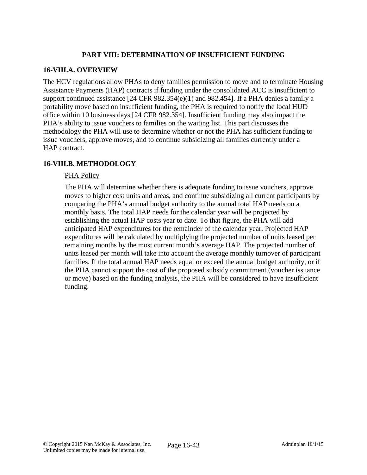# **PART VIII: DETERMINATION OF INSUFFICIENT FUNDING**

### **16-VIII.A. OVERVIEW**

The HCV regulations allow PHAs to deny families permission to move and to terminate Housing Assistance Payments (HAP) contracts if funding under the consolidated ACC is insufficient to support continued assistance [24 CFR 982.354(e)(1) and 982.454]. If a PHA denies a family a portability move based on insufficient funding, the PHA is required to notify the local HUD office within 10 business days [24 CFR 982.354]. Insufficient funding may also impact the PHA's ability to issue vouchers to families on the waiting list. This part discusses the methodology the PHA will use to determine whether or not the PHA has sufficient funding to issue vouchers, approve moves, and to continue subsidizing all families currently under a HAP contract.

# **16-VIII.B. METHODOLOGY**

### PHA Policy

The PHA will determine whether there is adequate funding to issue vouchers, approve moves to higher cost units and areas, and continue subsidizing all current participants by comparing the PHA's annual budget authority to the annual total HAP needs on a monthly basis. The total HAP needs for the calendar year will be projected by establishing the actual HAP costs year to date. To that figure, the PHA will add anticipated HAP expenditures for the remainder of the calendar year. Projected HAP expenditures will be calculated by multiplying the projected number of units leased per remaining months by the most current month's average HAP. The projected number of units leased per month will take into account the average monthly turnover of participant families. If the total annual HAP needs equal or exceed the annual budget authority, or if the PHA cannot support the cost of the proposed subsidy commitment (voucher issuance or move) based on the funding analysis, the PHA will be considered to have insufficient funding.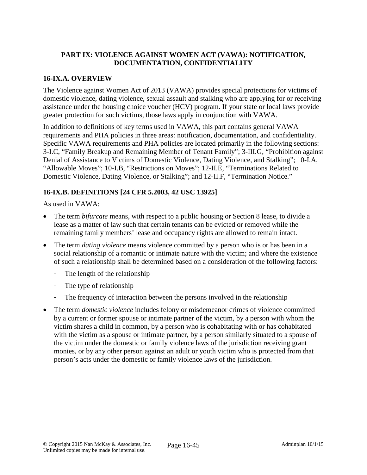# **PART IX: VIOLENCE AGAINST WOMEN ACT (VAWA): NOTIFICATION, DOCUMENTATION, CONFIDENTIALITY**

# **16-IX.A. OVERVIEW**

The Violence against Women Act of 2013 (VAWA) provides special protections for victims of domestic violence, dating violence, sexual assault and stalking who are applying for or receiving assistance under the housing choice voucher (HCV) program. If your state or local laws provide greater protection for such victims, those laws apply in conjunction with VAWA.

In addition to definitions of key terms used in VAWA, this part contains general VAWA requirements and PHA policies in three areas: notification, documentation, and confidentiality. Specific VAWA requirements and PHA policies are located primarily in the following sections: 3-I.C, "Family Breakup and Remaining Member of Tenant Family"; 3-III.G, "Prohibition against Denial of Assistance to Victims of Domestic Violence, Dating Violence, and Stalking"; 10-I.A, "Allowable Moves"; 10-I.B, "Restrictions on Moves"; 12-II.E, "Terminations Related to Domestic Violence, Dating Violence, or Stalking"; and 12-II.F, "Termination Notice."

# **16-IX.B. DEFINITIONS [24 CFR 5.2003, 42 USC 13925]**

As used in VAWA:

- The term *bifurcate* means, with respect to a public housing or Section 8 lease, to divide a lease as a matter of law such that certain tenants can be evicted or removed while the remaining family members' lease and occupancy rights are allowed to remain intact.
- The term *dating violence* means violence committed by a person who is or has been in a social relationship of a romantic or intimate nature with the victim; and where the existence of such a relationship shall be determined based on a consideration of the following factors:
	- The length of the relationship
	- The type of relationship
	- The frequency of interaction between the persons involved in the relationship
- The term *domestic violence* includes felony or misdemeanor crimes of violence committed by a current or former spouse or intimate partner of the victim, by a person with whom the victim shares a child in common, by a person who is cohabitating with or has cohabitated with the victim as a spouse or intimate partner, by a person similarly situated to a spouse of the victim under the domestic or family violence laws of the jurisdiction receiving grant monies, or by any other person against an adult or youth victim who is protected from that person's acts under the domestic or family violence laws of the jurisdiction.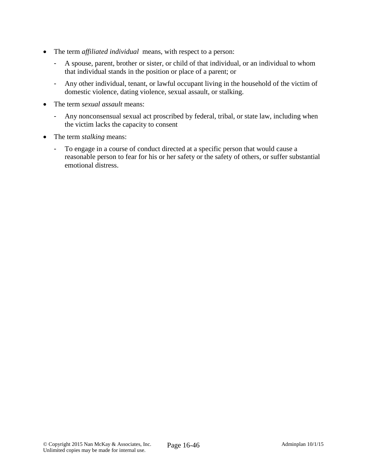- The term *affiliated individual* means, with respect to a person:
	- A spouse, parent, brother or sister, or child of that individual, or an individual to whom that individual stands in the position or place of a parent; or
	- Any other individual, tenant, or lawful occupant living in the household of the victim of domestic violence, dating violence, sexual assault, or stalking.
- The term *sexual assault* means:
	- Any nonconsensual sexual act proscribed by federal, tribal, or state law, including when the victim lacks the capacity to consent
- The term *stalking* means:
	- To engage in a course of conduct directed at a specific person that would cause a reasonable person to fear for his or her safety or the safety of others, or suffer substantial emotional distress.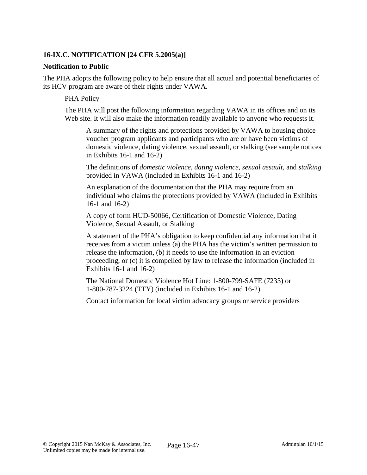# **16-IX.C. NOTIFICATION [24 CFR 5.2005(a)]**

#### **Notification to Public**

The PHA adopts the following policy to help ensure that all actual and potential beneficiaries of its HCV program are aware of their rights under VAWA.

### PHA Policy

The PHA will post the following information regarding VAWA in its offices and on its Web site. It will also make the information readily available to anyone who requests it.

A summary of the rights and protections provided by VAWA to housing choice voucher program applicants and participants who are or have been victims of domestic violence, dating violence, sexual assault, or stalking (see sample notices in Exhibits 16-1 and 16-2)

The definitions of *domestic violence*, *dating violence*, *sexual assault,* and *stalking* provided in VAWA (included in Exhibits 16-1 and 16-2)

An explanation of the documentation that the PHA may require from an individual who claims the protections provided by VAWA (included in Exhibits 16-1 and 16-2)

A copy of form HUD-50066, Certification of Domestic Violence, Dating Violence, Sexual Assault, or Stalking

A statement of the PHA's obligation to keep confidential any information that it receives from a victim unless (a) the PHA has the victim's written permission to release the information, (b) it needs to use the information in an eviction proceeding, or (c) it is compelled by law to release the information (included in Exhibits 16-1 and 16-2)

The National Domestic Violence Hot Line: 1-800-799-SAFE (7233) or 1-800-787-3224 (TTY) (included in Exhibits 16-1 and 16-2)

Contact information for local victim advocacy groups or service providers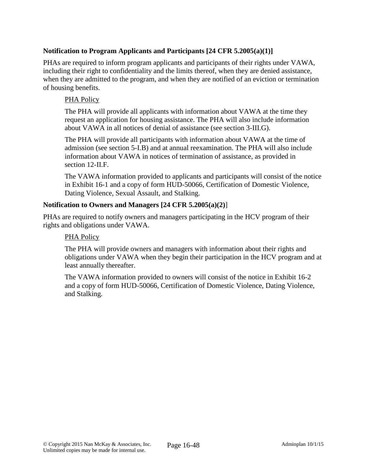# **Notification to Program Applicants and Participants [24 CFR 5.2005(a)(1)]**

PHAs are required to inform program applicants and participants of their rights under VAWA, including their right to confidentiality and the limits thereof, when they are denied assistance, when they are admitted to the program, and when they are notified of an eviction or termination of housing benefits.

### PHA Policy

The PHA will provide all applicants with information about VAWA at the time they request an application for housing assistance. The PHA will also include information about VAWA in all notices of denial of assistance (see section 3-III.G).

The PHA will provide all participants with information about VAWA at the time of admission (see section 5-I.B) and at annual reexamination. The PHA will also include information about VAWA in notices of termination of assistance, as provided in section 12-II.F.

The VAWA information provided to applicants and participants will consist of the notice in Exhibit 16-1 and a copy of form HUD-50066, Certification of Domestic Violence, Dating Violence, Sexual Assault, and Stalking.

### **Notification to Owners and Managers [24 CFR 5.2005(a)(2)**]

PHAs are required to notify owners and managers participating in the HCV program of their rights and obligations under VAWA.

#### PHA Policy

The PHA will provide owners and managers with information about their rights and obligations under VAWA when they begin their participation in the HCV program and at least annually thereafter.

The VAWA information provided to owners will consist of the notice in Exhibit 16-2 and a copy of form HUD-50066, Certification of Domestic Violence, Dating Violence, and Stalking.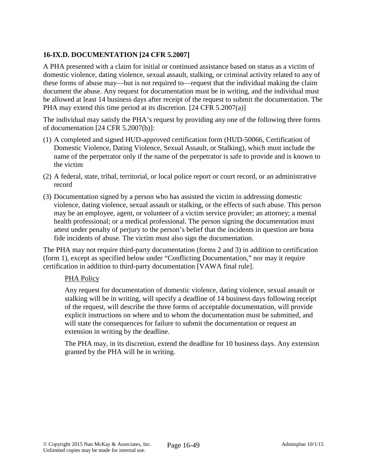# **16-IX.D. DOCUMENTATION [24 CFR 5.2007]**

A PHA presented with a claim for initial or continued assistance based on status as a victim of domestic violence, dating violence, sexual assault, stalking, or criminal activity related to any of these forms of abuse may—but is not required to—request that the individual making the claim document the abuse. Any request for documentation must be in writing, and the individual must be allowed at least 14 business days after receipt of the request to submit the documentation. The PHA may extend this time period at its discretion. [24 CFR 5.2007(a)]

The individual may satisfy the PHA's request by providing any one of the following three forms of documentation [24 CFR 5.2007(b)]:

- (1) A completed and signed HUD-approved certification form (HUD-50066, Certification of Domestic Violence, Dating Violence, Sexual Assault, or Stalking), which must include the name of the perpetrator only if the name of the perpetrator is safe to provide and is known to the victim
- (2) A federal, state, tribal, territorial, or local police report or court record, or an administrative record
- (3) Documentation signed by a person who has assisted the victim in addressing domestic violence, dating violence, sexual assault or stalking, or the effects of such abuse. This person may be an employee, agent, or volunteer of a victim service provider; an attorney; a mental health professional; or a medical professional. The person signing the documentation must attest under penalty of perjury to the person's belief that the incidents in question are bona fide incidents of abuse. The victim must also sign the documentation.

The PHA may not require third-party documentation (forms 2 and 3) in addition to certification (form 1), except as specified below under "Conflicting Documentation," nor may it require certification in addition to third-party documentation [VAWA final rule].

#### PHA Policy

Any request for documentation of domestic violence, dating violence, sexual assault or stalking will be in writing, will specify a deadline of 14 business days following receipt of the request, will describe the three forms of acceptable documentation, will provide explicit instructions on where and to whom the documentation must be submitted, and will state the consequences for failure to submit the documentation or request an extension in writing by the deadline.

The PHA may, in its discretion, extend the deadline for 10 business days. Any extension granted by the PHA will be in writing.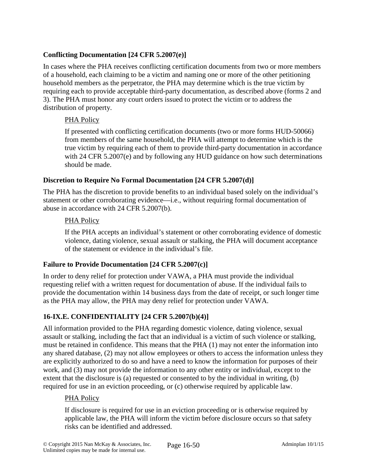# **Conflicting Documentation [24 CFR 5.2007(e)]**

In cases where the PHA receives conflicting certification documents from two or more members of a household, each claiming to be a victim and naming one or more of the other petitioning household members as the perpetrator, the PHA may determine which is the true victim by requiring each to provide acceptable third-party documentation, as described above (forms 2 and 3). The PHA must honor any court orders issued to protect the victim or to address the distribution of property.

# PHA Policy

If presented with conflicting certification documents (two or more forms HUD-50066) from members of the same household, the PHA will attempt to determine which is the true victim by requiring each of them to provide third-party documentation in accordance with 24 CFR 5.2007(e) and by following any HUD guidance on how such determinations should be made.

# **Discretion to Require No Formal Documentation [24 CFR 5.2007(d)]**

The PHA has the discretion to provide benefits to an individual based solely on the individual's statement or other corroborating evidence—i.e., without requiring formal documentation of abuse in accordance with 24 CFR 5.2007(b).

# PHA Policy

If the PHA accepts an individual's statement or other corroborating evidence of domestic violence, dating violence, sexual assault or stalking, the PHA will document acceptance of the statement or evidence in the individual's file.

# **Failure to Provide Documentation [24 CFR 5.2007(c)]**

In order to deny relief for protection under VAWA, a PHA must provide the individual requesting relief with a written request for documentation of abuse. If the individual fails to provide the documentation within 14 business days from the date of receipt, or such longer time as the PHA may allow, the PHA may deny relief for protection under VAWA.

# **16-IX.E. CONFIDENTIALITY [24 CFR 5.2007(b)(4)]**

All information provided to the PHA regarding domestic violence, dating violence, sexual assault or stalking, including the fact that an individual is a victim of such violence or stalking, must be retained in confidence. This means that the PHA (1) may not enter the information into any shared database, (2) may not allow employees or others to access the information unless they are explicitly authorized to do so and have a need to know the information for purposes of their work, and (3) may not provide the information to any other entity or individual, except to the extent that the disclosure is (a) requested or consented to by the individual in writing, (b) required for use in an eviction proceeding, or (c) otherwise required by applicable law.

# PHA Policy

If disclosure is required for use in an eviction proceeding or is otherwise required by applicable law, the PHA will inform the victim before disclosure occurs so that safety risks can be identified and addressed.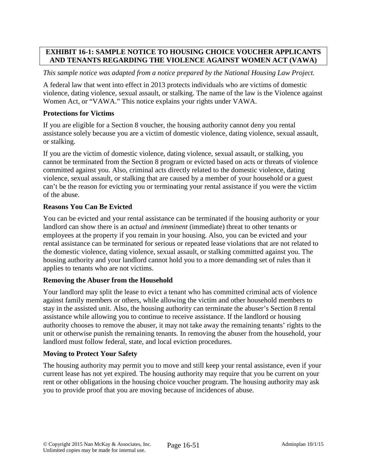# **EXHIBIT 16-1: SAMPLE NOTICE TO HOUSING CHOICE VOUCHER APPLICANTS AND TENANTS REGARDING THE VIOLENCE AGAINST WOMEN ACT (VAWA)**

*This sample notice was adapted from a notice prepared by the National Housing Law Project.*

A federal law that went into effect in 2013 protects individuals who are victims of domestic violence, dating violence, sexual assault, or stalking. The name of the law is the Violence against Women Act, or "VAWA." This notice explains your rights under VAWA.

### **Protections for Victims**

If you are eligible for a Section 8 voucher, the housing authority cannot deny you rental assistance solely because you are a victim of domestic violence, dating violence, sexual assault, or stalking.

If you are the victim of domestic violence, dating violence, sexual assault, or stalking, you cannot be terminated from the Section 8 program or evicted based on acts or threats of violence committed against you. Also, criminal acts directly related to the domestic violence, dating violence, sexual assault, or stalking that are caused by a member of your household or a guest can't be the reason for evicting you or terminating your rental assistance if you were the victim of the abuse.

# **Reasons You Can Be Evicted**

You can be evicted and your rental assistance can be terminated if the housing authority or your landlord can show there is an *actual* and *imminent* (immediate) threat to other tenants or employees at the property if you remain in your housing. Also, you can be evicted and your rental assistance can be terminated for serious or repeated lease violations that are not related to the domestic violence, dating violence, sexual assault, or stalking committed against you. The housing authority and your landlord cannot hold you to a more demanding set of rules than it applies to tenants who are not victims.

# **Removing the Abuser from the Household**

Your landlord may split the lease to evict a tenant who has committed criminal acts of violence against family members or others, while allowing the victim and other household members to stay in the assisted unit. Also, the housing authority can terminate the abuser's Section 8 rental assistance while allowing you to continue to receive assistance. If the landlord or housing authority chooses to remove the abuser, it may not take away the remaining tenants' rights to the unit or otherwise punish the remaining tenants. In removing the abuser from the household, your landlord must follow federal, state, and local eviction procedures.

#### **Moving to Protect Your Safety**

The housing authority may permit you to move and still keep your rental assistance, even if your current lease has not yet expired. The housing authority may require that you be current on your rent or other obligations in the housing choice voucher program. The housing authority may ask you to provide proof that you are moving because of incidences of abuse.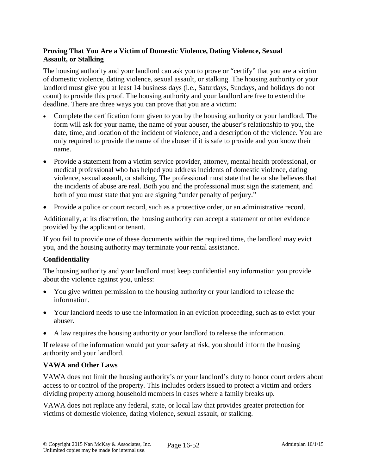# **Proving That You Are a Victim of Domestic Violence, Dating Violence, Sexual Assault, or Stalking**

The housing authority and your landlord can ask you to prove or "certify" that you are a victim of domestic violence, dating violence, sexual assault, or stalking. The housing authority or your landlord must give you at least 14 business days (i.e., Saturdays, Sundays, and holidays do not count) to provide this proof. The housing authority and your landlord are free to extend the deadline. There are three ways you can prove that you are a victim:

- Complete the certification form given to you by the housing authority or your landlord. The form will ask for your name, the name of your abuser, the abuser's relationship to you, the date, time, and location of the incident of violence, and a description of the violence. You are only required to provide the name of the abuser if it is safe to provide and you know their name.
- Provide a statement from a victim service provider, attorney, mental health professional, or medical professional who has helped you address incidents of domestic violence, dating violence, sexual assault, or stalking. The professional must state that he or she believes that the incidents of abuse are real. Both you and the professional must sign the statement, and both of you must state that you are signing "under penalty of perjury."
- Provide a police or court record, such as a protective order, or an administrative record.

Additionally, at its discretion, the housing authority can accept a statement or other evidence provided by the applicant or tenant.

If you fail to provide one of these documents within the required time, the landlord may evict you, and the housing authority may terminate your rental assistance.

# **Confidentiality**

The housing authority and your landlord must keep confidential any information you provide about the violence against you, unless:

- You give written permission to the housing authority or your landlord to release the information.
- Your landlord needs to use the information in an eviction proceeding, such as to evict your abuser.
- A law requires the housing authority or your landlord to release the information.

If release of the information would put your safety at risk, you should inform the housing authority and your landlord.

# **VAWA and Other Laws**

VAWA does not limit the housing authority's or your landlord's duty to honor court orders about access to or control of the property. This includes orders issued to protect a victim and orders dividing property among household members in cases where a family breaks up.

VAWA does not replace any federal, state, or local law that provides greater protection for victims of domestic violence, dating violence, sexual assault, or stalking.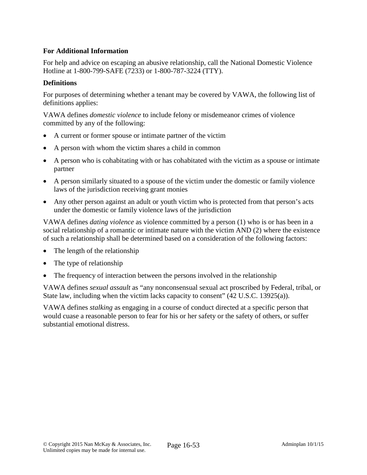# **For Additional Information**

For help and advice on escaping an abusive relationship, call the National Domestic Violence Hotline at 1-800-799-SAFE (7233) or 1-800-787-3224 (TTY).

### **Definitions**

For purposes of determining whether a tenant may be covered by VAWA, the following list of definitions applies:

VAWA defines *domestic violence* to include felony or misdemeanor crimes of violence committed by any of the following:

- A current or former spouse or intimate partner of the victim
- A person with whom the victim shares a child in common
- A person who is cohabitating with or has cohabitated with the victim as a spouse or intimate partner
- A person similarly situated to a spouse of the victim under the domestic or family violence laws of the jurisdiction receiving grant monies
- Any other person against an adult or youth victim who is protected from that person's acts under the domestic or family violence laws of the jurisdiction

VAWA defines *dating violence* as violence committed by a person (1) who is or has been in a social relationship of a romantic or intimate nature with the victim AND (2) where the existence of such a relationship shall be determined based on a consideration of the following factors:

- The length of the relationship
- The type of relationship
- The frequency of interaction between the persons involved in the relationship

VAWA defines *sexual assault* as "any nonconsensual sexual act proscribed by Federal, tribal, or State law, including when the victim lacks capacity to consent" (42 U.S.C. 13925(a)).

VAWA defines *stalking* as engaging in a course of conduct directed at a specific person that would cuase a reasonable person to fear for his or her safety or the safety of others, or suffer substantial emotional distress.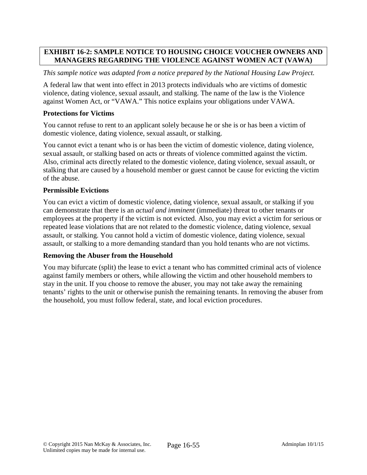# **EXHIBIT 16-2: SAMPLE NOTICE TO HOUSING CHOICE VOUCHER OWNERS AND MANAGERS REGARDING THE VIOLENCE AGAINST WOMEN ACT (VAWA)**

### *This sample notice was adapted from a notice prepared by the National Housing Law Project.*

A federal law that went into effect in 2013 protects individuals who are victims of domestic violence, dating violence, sexual assault, and stalking. The name of the law is the Violence against Women Act, or "VAWA." This notice explains your obligations under VAWA.

#### **Protections for Victims**

You cannot refuse to rent to an applicant solely because he or she is or has been a victim of domestic violence, dating violence, sexual assault, or stalking.

You cannot evict a tenant who is or has been the victim of domestic violence, dating violence, sexual assault, or stalking based on acts or threats of violence committed against the victim. Also, criminal acts directly related to the domestic violence, dating violence, sexual assault, or stalking that are caused by a household member or guest cannot be cause for evicting the victim of the abuse.

### **Permissible Evictions**

You can evict a victim of domestic violence, dating violence, sexual assault, or stalking if you can demonstrate that there is an *actual and imminent* (immediate) threat to other tenants or employees at the property if the victim is not evicted. Also, you may evict a victim for serious or repeated lease violations that are not related to the domestic violence, dating violence, sexual assault, or stalking. You cannot hold a victim of domestic violence, dating violence, sexual assault, or stalking to a more demanding standard than you hold tenants who are not victims.

#### **Removing the Abuser from the Household**

You may bifurcate (split) the lease to evict a tenant who has committed criminal acts of violence against family members or others, while allowing the victim and other household members to stay in the unit. If you choose to remove the abuser, you may not take away the remaining tenants' rights to the unit or otherwise punish the remaining tenants. In removing the abuser from the household, you must follow federal, state, and local eviction procedures.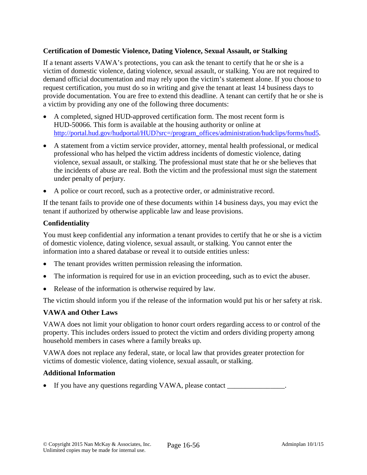# **Certification of Domestic Violence, Dating Violence, Sexual Assault, or Stalking**

If a tenant asserts VAWA's protections, you can ask the tenant to certify that he or she is a victim of domestic violence, dating violence, sexual assault, or stalking. You are not required to demand official documentation and may rely upon the victim's statement alone. If you choose to request certification, you must do so in writing and give the tenant at least 14 business days to provide documentation. You are free to extend this deadline. A tenant can certify that he or she is a victim by providing any one of the following three documents:

- A completed, signed HUD-approved certification form. The most recent form is HUD-50066. This form is available at the housing authority or online at http://portal.hud.gov/hudportal/HUD?src=/program\_offices/administration/hudclips/forms/hud5.
- A statement from a victim service provider, attorney, mental health professional, or medical professional who has helped the victim address incidents of domestic violence, dating violence, sexual assault, or stalking. The professional must state that he or she believes that the incidents of abuse are real. Both the victim and the professional must sign the statement under penalty of perjury.
- A police or court record, such as a protective order, or administrative record.

If the tenant fails to provide one of these documents within 14 business days, you may evict the tenant if authorized by otherwise applicable law and lease provisions.

# **Confidentiality**

You must keep confidential any information a tenant provides to certify that he or she is a victim of domestic violence, dating violence, sexual assault, or stalking. You cannot enter the information into a shared database or reveal it to outside entities unless:

- The tenant provides written permission releasing the information.
- The information is required for use in an eviction proceeding, such as to evict the abuser.
- Release of the information is otherwise required by law.

The victim should inform you if the release of the information would put his or her safety at risk.

# **VAWA and Other Laws**

VAWA does not limit your obligation to honor court orders regarding access to or control of the property. This includes orders issued to protect the victim and orders dividing property among household members in cases where a family breaks up.

VAWA does not replace any federal, state, or local law that provides greater protection for victims of domestic violence, dating violence, sexual assault, or stalking.

#### **Additional Information**

• If you have any questions regarding VAWA, please contact \_\_\_\_\_\_\_\_\_\_\_\_\_\_\_\_\_\_\_\_\_